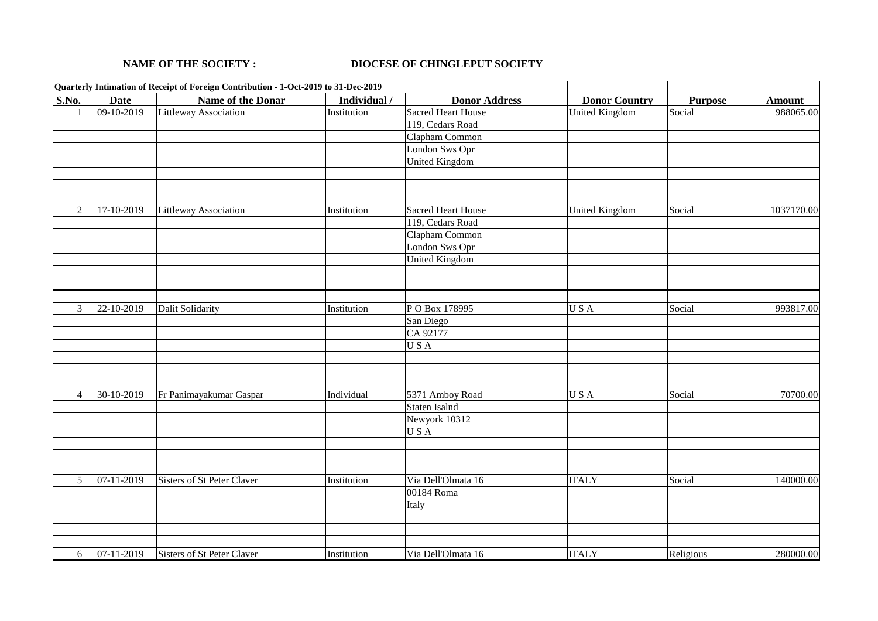## **NAME OF THE SOCIETY :**

## **DIOCESE OF CHINGLEPUT SOCIETY**

|                |              | Quarterly Intimation of Receipt of Foreign Contribution - 1-Oct-2019 to 31-Dec-2019 |              |                           |                       |                |               |
|----------------|--------------|-------------------------------------------------------------------------------------|--------------|---------------------------|-----------------------|----------------|---------------|
| S.No.          | <b>Date</b>  | <b>Name of the Donar</b>                                                            | Individual / | <b>Donor Address</b>      | <b>Donor Country</b>  | <b>Purpose</b> | <b>Amount</b> |
|                | $09-10-2019$ | Littleway Association                                                               | Institution  | <b>Sacred Heart House</b> | <b>United Kingdom</b> | Social         | 988065.00     |
|                |              |                                                                                     |              | 119, Cedars Road          |                       |                |               |
|                |              |                                                                                     |              | Clapham Common            |                       |                |               |
|                |              |                                                                                     |              | London Sws Opr            |                       |                |               |
|                |              |                                                                                     |              | <b>United Kingdom</b>     |                       |                |               |
|                |              |                                                                                     |              |                           |                       |                |               |
| $\overline{2}$ | 17-10-2019   | <b>Littleway Association</b>                                                        | Institution  | <b>Sacred Heart House</b> | <b>United Kingdom</b> | Social         | 1037170.00    |
|                |              |                                                                                     |              | 119, Cedars Road          |                       |                |               |
|                |              |                                                                                     |              | Clapham Common            |                       |                |               |
|                |              |                                                                                     |              | London Sws Opr            |                       |                |               |
|                |              |                                                                                     |              | <b>United Kingdom</b>     |                       |                |               |
|                |              |                                                                                     |              |                           |                       |                |               |
| $\overline{3}$ | 22-10-2019   | Dalit Solidarity                                                                    | Institution  | PO Box 178995             | USA                   | Social         | 993817.00     |
|                |              |                                                                                     |              | San Diego                 |                       |                |               |
|                |              |                                                                                     |              | CA 92177                  |                       |                |               |
|                |              |                                                                                     |              | USA                       |                       |                |               |
|                |              |                                                                                     |              |                           |                       |                |               |
|                |              |                                                                                     |              |                           |                       |                |               |
| $\Delta$       | 30-10-2019   | Fr Panimayakumar Gaspar                                                             | Individual   | 5371 Amboy Road           | USA                   | Social         | 70700.00      |
|                |              |                                                                                     |              | Staten Isalnd             |                       |                |               |
|                |              |                                                                                     |              | Newyork 10312             |                       |                |               |
|                |              |                                                                                     |              | USA                       |                       |                |               |
|                |              |                                                                                     |              |                           |                       |                |               |
| 5              | $07-11-2019$ | Sisters of St Peter Claver                                                          | Institution  | Via Dell'Olmata 16        | <b>ITALY</b>          | Social         | 140000.00     |
|                |              |                                                                                     |              | 00184 Roma                |                       |                |               |
|                |              |                                                                                     |              | Italy                     |                       |                |               |
|                |              |                                                                                     |              |                           |                       |                |               |
| 6              | 07-11-2019   | Sisters of St Peter Claver                                                          | Institution  | Via Dell'Olmata 16        | <b>ITALY</b>          | Religious      | 280000.00     |